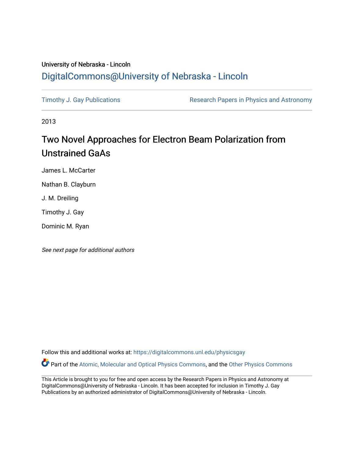## University of Nebraska - Lincoln [DigitalCommons@University of Nebraska - Lincoln](https://digitalcommons.unl.edu/)

[Timothy J. Gay Publications](https://digitalcommons.unl.edu/physicsgay) **Research Papers in Physics and Astronomy** 

2013

# Two Novel Approaches for Electron Beam Polarization from Unstrained GaAs

James L. McCarter

Nathan B. Clayburn

J. M. Dreiling

Timothy J. Gay

Dominic M. Ryan

See next page for additional authors

Follow this and additional works at: [https://digitalcommons.unl.edu/physicsgay](https://digitalcommons.unl.edu/physicsgay?utm_source=digitalcommons.unl.edu%2Fphysicsgay%2F86&utm_medium=PDF&utm_campaign=PDFCoverPages)

Part of the [Atomic, Molecular and Optical Physics Commons,](http://network.bepress.com/hgg/discipline/195?utm_source=digitalcommons.unl.edu%2Fphysicsgay%2F86&utm_medium=PDF&utm_campaign=PDFCoverPages) and the [Other Physics Commons](http://network.bepress.com/hgg/discipline/207?utm_source=digitalcommons.unl.edu%2Fphysicsgay%2F86&utm_medium=PDF&utm_campaign=PDFCoverPages) 

This Article is brought to you for free and open access by the Research Papers in Physics and Astronomy at DigitalCommons@University of Nebraska - Lincoln. It has been accepted for inclusion in Timothy J. Gay Publications by an authorized administrator of DigitalCommons@University of Nebraska - Lincoln.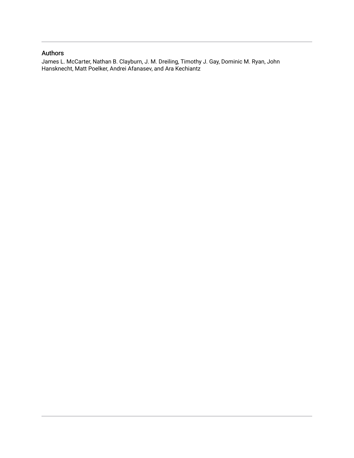## Authors

James L. McCarter, Nathan B. Clayburn, J. M. Dreiling, Timothy J. Gay, Dominic M. Ryan, John Hansknecht, Matt Poelker, Andrei Afanasev, and Ara Kechiantz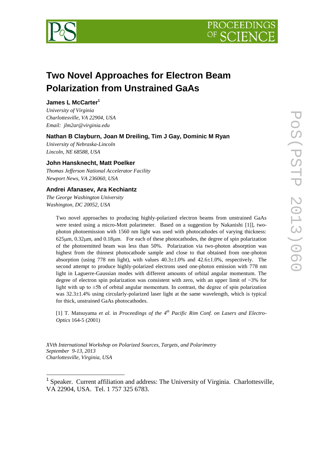



## **Two Novel Approaches for Electron Beam Polarization from Unstrained GaAs**

## **James L McCarter<sup>1</sup>**

*University of Virginia Charlottesville, VA 22904, USA Email: jlm2ar@virginia.edu*

## **Nathan B Clayburn, Joan M Dreiling, Tim J Gay, Dominic M Ryan**

*University of Nebraska-Lincoln Lincoln, NE 68588, USA*

## **John Hansknecht, Matt Poelker**

*Thomas Jefferson National Accelerator Facility Newport News, VA 236060, USA*

## **Andrei Afanasev, Ara Kechiantz**

*The George Washington University Washington, DC 20052, USA*

1

Two novel approaches to producing highly-polarized electron beams from unstrained GaAs were tested using a micro-Mott polarimeter. Based on a suggestion by Nakanishi [\[1\]\]](#page-8-0), twophoton photoemission with 1560 nm light was used with photocathodes of varying thickness:  $625\mu$ m,  $0.32\mu$ m, and  $0.18\mu$ m. For each of these photocathodes, the degree of spin polarization of the photoemitted beam was less than 50%. Polarization via two-photon absorption was highest from the thinnest photocathode sample and close to that obtained from one-photon absorption (using 778 nm light), with values  $40.3\pm1.0\%$  and  $42.6\pm1.0\%$ , respectively. The second attempt to produce highly-polarized electrons used one-photon emission with 778 nm light in Laguerre-Gaussian modes with different amounts of orbital angular momentum. The degree of electron spin polarization was consistent with zero, with an upper limit of  $\sim 3\%$  for light with up to  $\pm$ 5h of orbital angular momentum. In contrast, the degree of spin polarization was 32.3±1.4% using circularly-polarized laser light at the same wavelength, which is typical for thick, unstrained GaAs photocathodes.

[1] T. Matsuyama *et al*. in *Proceedings of the 4 th Pacific Rim Conf. on Lasers and Electro-Optics* 164-5 (2001)

*XVth International Workshop on Polarized Sources, Targets, and Polarimetry September 9-13, 2013 Charlottesville, Virginia, USA*

<sup>&</sup>lt;sup>1</sup> Speaker. Current affiliation and address: The University of Virginia. Charlottesville, VA 22904, USA. Tel. 1 757 325 6783.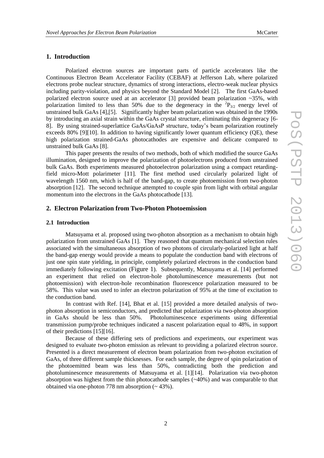## **1. Introduction**

Polarized electron sources are important parts of particle accelerators like the Continuous Electron Beam Accelerator Facility (CEBAF) at Jefferson Lab, where polarized electrons probe nuclear structure, dynamics of strong interactions, electro-weak nuclear physics including parity-violation, and physics beyond the Standard Model [\[2\].](#page-8-1) The first GaAs-based polarized electron source used at an accelerator  $\lceil 3 \rceil$  provided beam polarization  $\sim$ 35%, with polarization limited to less than 50% due to the degeneracy in the  ${}^{2}P_{3/2}$  energy level of unstrained bulk GaAs [\[4\]](#page-8-3)[,\[5\].](#page-8-4) Significantly higher beam polarization was obtained in the 1990s by introducing an axial strain within the GaAs crystal structure, eliminating this degeneracy [6- 8]. By using strained-superlattice GaAs/GaAsP structure, today's beam polarization routinely exceeds 80% [\[9\]\[10\].](#page-8-5) In addition to having significantly lower quantum efficiency (QE), these high polarization strained-GaAs photocathodes are expensive and delicate compared to unstrained bulk GaAs [\[8\].](#page-8-6)

This paper presents the results of two methods, both of which modified the source GaAs illumination, designed to improve the polarization of photoelectrons produced from unstrained bulk GaAs. Both experiments measured photoelectron polarization using a compact retardingfield micro-Mott polarimeter [\[11\].](#page-8-7) The first method used circularly polarized light of wavelength 1560 nm, which is half of the band-gap, to create photoemission from two-photon absorption [\[12\].](#page-8-8) The second technique attempted to couple spin from light with orbital angular momentum into the electrons in the GaAs photocathode [\[13\].](#page-8-9)

### **2. Electron Polarization from Two-Photon Photoemission**

#### **2.1 Introduction**

Matsuyama et al. proposed using two-photon absorption as a mechanism to obtain high polarization from unstrained GaAs [\[1\].](#page-8-0) They reasoned that quantum mechanical selection rules associated with the simultaneous absorption of two photons of circularly-polarized light at half the band-gap energy would provide a means to populate the conduction band with electrons of just one spin state yielding, in principle, completely polarized electrons in the conduction band immediately following excitation ([Figure 1](#page-4-0)). Subsequently, Matsuyama et al. [\[14\]](#page-8-10) performed an experiment that relied on electron-hole photoluminescence measurements (but not photoemission) with electron-hole recombination fluorescence polarization measured to be 58%. This value was used to infer an electron polarization of 95% at the time of excitation to the conduction band.

In contrast with Ref. [\[14\],](#page-8-10) Bhat et al. [\[15\]](#page-8-11) provided a more detailed analysis of twophoton absorption in semiconductors, and predicted that polarization via two-photon absorption in GaAs should be less than 50%. Photoluminescence experiments using differential transmission pump/probe techniques indicated a nascent polarization equal to 48%, in support of their predictions [\[15\]\[16\].](#page-8-11)

Because of these differing sets of predictions and experiments, our experiment was designed to evaluate two-photon emission as relevant to providing a polarized electron source. Presented is a direct measurement of electron beam polarization from two-photon excitation of GaAs, of three different sample thicknesses. For each sample, the degree of spin polarization of the photoemitted beam was less than 50%, contradicting both the prediction and photoluminescence measurements of Matsuyama et al. [\[1\]\[14\].](#page-8-0) Polarization via two-photon absorption was highest from the thin photocathode samples (~40%) and was comparable to that obtained via one-photon  $778 \text{ nm}$  absorption ( $\sim 43\%$ ).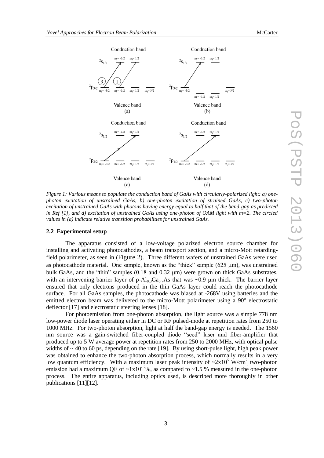

<span id="page-4-0"></span>*Figure 1: Various means to populate the conduction band of GaAs with circularly-polarized light: a) onephoton excitation of unstrained GaAs, b) one-photon excitation of strained GaAs, c) two-photon excitation of unstrained GaAs with photons having energy equal to half that of the band-gap as predicted in Ref [\[1\],](#page-8-0) and d) excitation of unstrained GaAs using one-photon of OAM light with m=2. The circled values in (a) indicate relative transition probabilities for unstrained GaAs.* 

#### **2.2 Experimental setup**

The apparatus consisted of a low-voltage polarized electron source chamber for installing and activating photocathodes, a beam transport section, and a micro-Mott retardingfield polarimeter, as seen in ([Figure 2](#page-5-0)). Three different wafers of unstrained GaAs were used as photocathode material. One sample, known as the "thick" sample  $(625 \mu m)$ , was unstrained bulk GaAs, and the "thin" samples  $(0.18 \text{ and } 0.32 \mu \text{m})$  were grown on thick GaAs substrates, with an intervening barrier layer of p-Al<sub>0.3</sub>Ga<sub>0.7</sub>As that was ~0.9 µm thick. The barrier layer ensured that only electrons produced in the thin GaAs layer could reach the photocathode surface. For all GaAs samples, the photocathode was biased at -268V using batteries and the emitted electron beam was delivered to the micro-Mott polarimeter using a 90° electrostatic deflector [\[17\]](#page-8-12) and electrostatic steering lenses [\[18\].](#page-8-13)

For photoemission from one-photon absorption, the light source was a simple 778 nm low-power diode laser operating either in DC or RF pulsed-mode at repetition rates from 250 to 1000 MHz. For two-photon absorption, light at half the band-gap energy is needed. The 1560 nm source was a gain-switched fiber-coupled diode "seed" laser and fiber-amplifier that produced up to 5 W average power at repetition rates from 250 to 2000 MHz, with optical pulse widths of  $\sim$  40 to 60 ps, depending on the rate [\[19\].](#page-8-14) By using short-pulse light, high peak power was obtained to enhance the two-photon absorption process, which normally results in a very low quantum efficiency. With a maximum laser peak intensity of  $\sim 2 \times 10^5$  W/cm<sup>2</sup> two-photon emission had a maximum QE of  $\sim 1x10^{-7}$ %, as compared to  $\sim 1.5$  % measured in the one-photon process. The entire apparatus, including optics used, is described more thoroughly in other publications [\[11\]\[12\].](#page-8-7)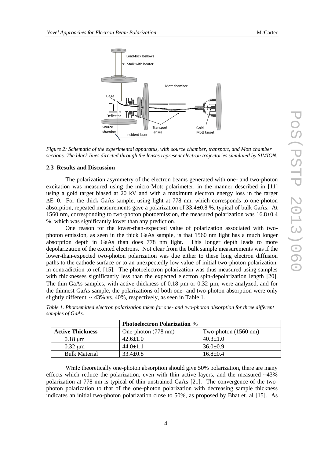

<span id="page-5-0"></span>*Figure 2: Schematic of the experimental apparatus, with source chamber, transport, and Mott chamber sections. The black lines directed through the lenses represent electron trajectories simulated by SIMION.*

#### **2.3 Results and Discussion**

The polarization asymmetry of the electron beams generated with one- and two-photon excitation was measured using the micro-Mott polarimeter, in the manner described in [\[11\]](#page-8-7) using a gold target biased at 20 kV and with a maximum electron energy loss in the target  $\Delta E=0$ . For the thick GaAs sample, using light at 778 nm, which corresponds to one-photon absorption, repeated measurements gave a polarization of 33.4±0.8 %, typical of bulk GaAs. At 1560 nm, corresponding to two-photon photoemission, the measured polarization was  $16.8\pm0.4$ %, which was significantly lower than any prediction.

One reason for the lower-than-expected value of polarization associated with twophoton emission, as seen in the thick GaAs sample, is that 1560 nm light has a much longer absorption depth in GaAs than does 778 nm light. This longer depth leads to more depolarization of the excited electrons. Not clear from the bulk sample measurements was if the lower-than-expected two-photon polarization was due either to these long electron diffusion paths to the cathode surface or to an unexpectedly low value of initial two-photon polarization, in contradiction to ref. [\[15\].](#page-8-11) The photoelectron polarization was thus measured using samples with thicknesses significantly less than the expected electron spin-depolarization length [\[20\].](#page-8-15) The thin GaAs samples, with active thickness of 0.18 um or 0.32 um, were analyzed, and for the thinnest GaAs sample, the polarizations of both one- and two-photon absorption were only slightly different,  $\sim$  43% vs. 40%, respectively, as seen in Table 1.

| <b>Photoelectron Polarization %</b> |                     |                                |
|-------------------------------------|---------------------|--------------------------------|
| <b>Active Thickness</b>             | One-photon (778 nm) | Two-photon $(1560 \text{ nm})$ |
| $0.18 \text{ }\mu\text{m}$          | $42.6 \pm 1.0$      | $40.3 + 1.0$                   |
| $0.32 \text{ }\mu\text{m}$          | $44.0 + 1.1$        | $36.0 \pm 0.9$                 |
| <b>Bulk Material</b>                | $33.4 \pm 0.8$      | $16.8 \pm 0.4$                 |

*Table 1. Photoemitted electron polarization taken for one- and two-photon absorption for three different samples of GaAs.*

While theoretically one-photon absorption should give 50% polarization, there are many effects which reduce the polarization, even with thin active layers, and the measured ~43% polarization at 778 nm is typical of thin unstrained GaAs [\[21\].](#page-8-16) The convergence of the twophoton polarization to that of the one-photon polarization with decreasing sample thickness indicates an initial two-photon polarization close to 50%, as proposed by Bhat et. al [\[15\].](#page-8-11) As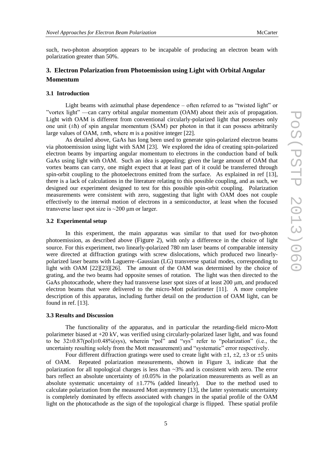such, two-photon absorption appears to be incapable of producing an electron beam with polarization greater than 50%.

## **3. Electron Polarization from Photoemission using Light with Orbital Angular Momentum**

#### **3.1 Introduction**

Light beams with azimuthal phase dependence – often referred to as "twisted light" or "vortex light" —can carry orbital angular momentum (OAM) about their axis of propagation. Light with OAM is different from conventional circularly-polarized light that possesses only one unit  $(\pm \hbar)$  of spin angular momentum (SAM) per photon in that it can possess arbitrarily large values of OAM, ±*m*ħ, where *m* is a positive integer [\[22\].](#page-8-17)

As detailed above, GaAs has long been used to generate spin-polarized electron beams via photoemission using light with SAM [\[23\].](#page-8-18) We explored the idea of creating spin-polarized electron beams by imparting angular momentum to electrons in the conduction band of bulk GaAs using light with OAM. Such an idea is appealing; given the large amount of OAM that vortex beams can carry, one might expect that at least part of it could be transferred through spin-orbit coupling to the photoelectrons emitted from the surface. As explained in ref [\[13\],](#page-8-9) there is a lack of calculations in the literature relating to this possible coupling, and as such, we designed our experiment designed to test for this possible spin-orbit coupling. Polarization measurements were consistent with zero, suggesting that light with OAM does not couple effectively to the internal motion of electrons in a semiconductor, at least when the focused transverse laser spot size is  $\sim$ 200  $\mu$ m or larger.

#### **3.2 Experimental setup**

In this experiment, the main apparatus was similar to that used for two-photon photoemission, as described above ([Figure 2](#page-5-0)), with only a difference in the choice of light source. For this experiment, two linearly-polarized 780 nm laser beams of comparable intensity were directed at diffraction gratings with screw dislocations, which produced two linearlypolarized laser beams with Laguerre–Gaussian (LG) transverse spatial modes, corresponding to light with OAM [\[22\]\[23\]](#page-8-17)[\[26\].](#page-8-19) The amount of the OAM was determined by the choice of grating, and the two beams had opposite senses of rotation. The light was then directed to the GaAs photocathode, where they had transverse laser spot sizes of at least 200  $\mu$ m, and produced electron beams that were delivered to the micro-Mott polarimeter [\[11\].](#page-8-7) A more complete description of this apparatus, including further detail on the production of OAM light, can be found in ref. [\[13\].](#page-8-9)

#### **3.3 Results and Discussion**

The functionality of the apparatus, and in particular the retarding-field micro-Mott polarimeter biased at +20 kV, was verified using circularly-polarized laser light, and was found to be 32±0.87(pol)±0.48%(sys), wherein "pol" and "sys" refer to "polarization" (i.e., the uncertainty resulting solely from the Mott measurement) and "systematic" error respectively.

Four different diffraction gratings were used to create light with  $\pm 1$ ,  $\pm 2$ ,  $\pm 3$  or  $\pm 5$  units of OAM. Repeated polarization measurements, shown in [Figure 3,](#page-7-0) indicate that the polarization for all topological charges is less than  $\sim 3\%$  and is consistent with zero. The error bars reflect an absolute uncertainty of  $\pm 0.05\%$  in the polarization measurements as well as an absolute systematic uncertainty of  $\pm 1.77\%$  (added linearly). Due to the method used to calculate polarization from the measured Mott asymmetry [\[13\],](#page-8-9) the latter systematic uncertainty is completely dominated by effects associated with changes in the spatial profile of the OAM light on the photocathode as the sign of the topological charge is flipped. These spatial profile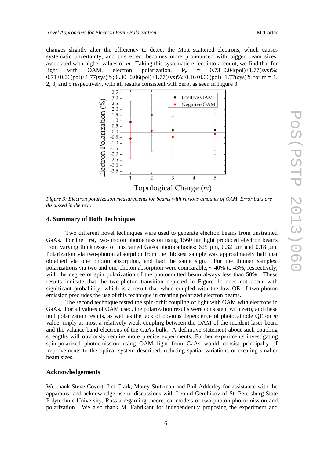changes slightly alter the efficiency to detect the Mott scattered electrons, which causes systematic uncertainty, and this effect becomes more pronounced with bigger beam sizes, associated with higher values of *m*. Taking this systematic effect into account, we find that for light with OAM, electron polarization,  $P_e = 0.73 \pm 0.04$  (pol $\pm 1.77$  (sys)%;  $0.71\pm0.06(pol)\pm1.77(sys)\%$ ;  $0.30\pm0.06(pol)\pm1.77(sys)\%$ ;  $0.16\pm0.06(pol)\pm1.77(sys)\%$  for m = 1, 2, 3, and 5 respectively, with all results consistent with zero, as seen in [Figure 3.](#page-7-0)



<span id="page-7-0"></span>*Figure 3: Electron polarization measurements for beams with various amounts of OAM. Error bars are discussed in the text.*

### **4. Summary of Both Techniques**

Two different novel techniques were used to generate electron beams from unstrained GaAs. For the first, two-photon photoemission using 1560 nm light produced electron beams from varying thicknesses of unstrained GaAs photocathodes:  $625 \text{ µm}$ ,  $0.32 \text{ µm}$  and  $0.18 \text{ µm}$ . Polarization via two-photon absorption from the thickest sample was approximately half that obtained via one photon absorption, and had the same sign. For the thinner samples, polarizations via two and one-photon absorption were comparable,  $\sim$  40% to 43%, respectively, with the degree of spin polarization of the photoemitted beam always less than 50%. These results indicate that the two-photon transition depicted in Figure 1c does not occur with significant probability, which is a result that when coupled with the low QE of two-photon emission precludes the use of this technique in creating polarized electron beams.

The second technique tested the spin-orbit coupling of light with OAM with electrons in GaAs. For all values of OAM used, the polarization results were consistent with zero, and these null polarization results, as well as the lack of obvious dependence of photocathode QE on *m* value, imply at most a relatively weak coupling between the OAM of the incident laser beam and the valance-band electrons of the GaAs bulk. A definitive statement about such coupling strengths will obviously require more precise experiments. Further experiments investigating spin-polarized photoemission using OAM light from GaAs would consist principally of improvements to the optical system described, reducing spatial variations or creating smaller beam sizes.

#### **Acknowledgements**

We thank Steve Covert, Jim Clark, Marcy Stutzman and Phil Adderley for assistance with the apparatus, and acknowledge useful discussions with Leonid Gerchikov of St. Petersburg State Polytechnic University, Russia regarding theoretical models of two-photon photoemission and polarization. We also thank M. Fabrikant for independently proposing the experiment and